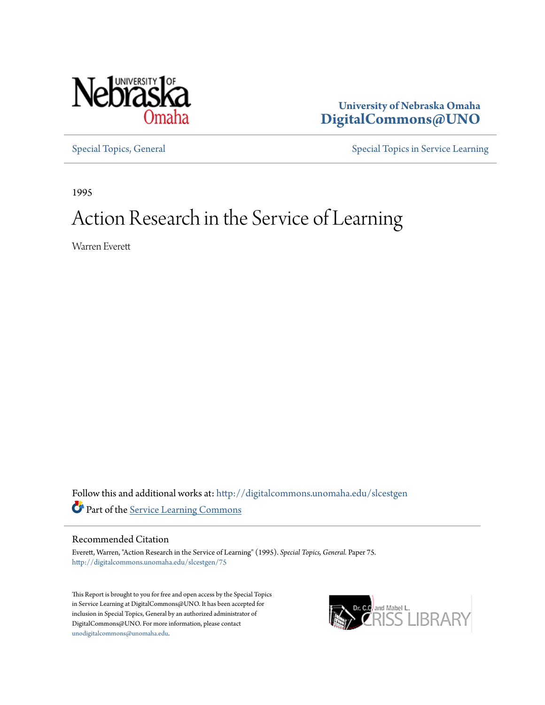

**University of Nebraska Omaha [DigitalCommons@UNO](http://digitalcommons.unomaha.edu?utm_source=digitalcommons.unomaha.edu%2Fslcestgen%2F75&utm_medium=PDF&utm_campaign=PDFCoverPages)**

[Special Topics, General](http://digitalcommons.unomaha.edu/slcestgen?utm_source=digitalcommons.unomaha.edu%2Fslcestgen%2F75&utm_medium=PDF&utm_campaign=PDFCoverPages) [Special Topics in Service Learning](http://digitalcommons.unomaha.edu/slcespecialtopics?utm_source=digitalcommons.unomaha.edu%2Fslcestgen%2F75&utm_medium=PDF&utm_campaign=PDFCoverPages)

1995

# Action Research in the Service of Learning

Warren Everett

Follow this and additional works at: [http://digitalcommons.unomaha.edu/slcestgen](http://digitalcommons.unomaha.edu/slcestgen?utm_source=digitalcommons.unomaha.edu%2Fslcestgen%2F75&utm_medium=PDF&utm_campaign=PDFCoverPages) Part of the [Service Learning Commons](http://network.bepress.com/hgg/discipline/1024?utm_source=digitalcommons.unomaha.edu%2Fslcestgen%2F75&utm_medium=PDF&utm_campaign=PDFCoverPages)

# Recommended Citation

Everett, Warren, "Action Research in the Service of Learning" (1995). *Special Topics, General.* Paper 75. [http://digitalcommons.unomaha.edu/slcestgen/75](http://digitalcommons.unomaha.edu/slcestgen/75?utm_source=digitalcommons.unomaha.edu%2Fslcestgen%2F75&utm_medium=PDF&utm_campaign=PDFCoverPages)

This Report is brought to you for free and open access by the Special Topics in Service Learning at DigitalCommons@UNO. It has been accepted for inclusion in Special Topics, General by an authorized administrator of DigitalCommons@UNO. For more information, please contact [unodigitalcommons@unomaha.edu](mailto:unodigitalcommons@unomaha.edu).

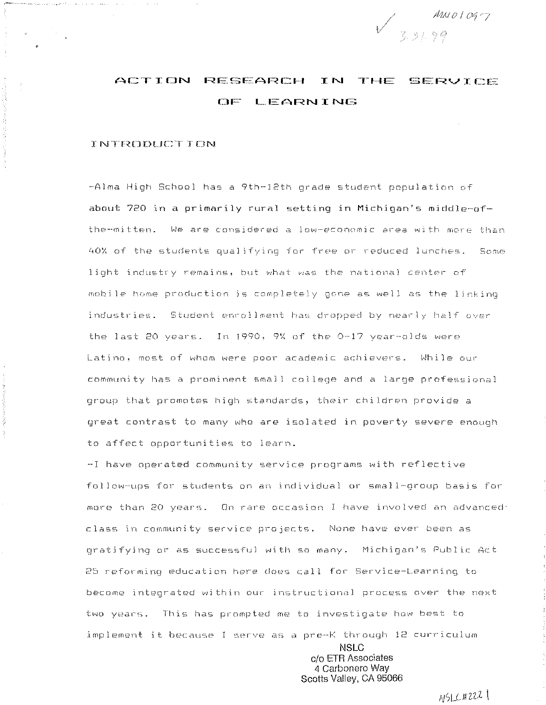

#### **ACTION** RESEARCH IN THE SERVICE OF LEARNING

### **TNTRODUCT ION**

 $\mathcal{L}_{\mathcal{L}}$  . We have a second constraint the  $\mathcal{L}_{\mathcal{L}}$ 

-Alma High School has a 9th-12th grade student population of about 720 in a primarily rural setting in Michigan's middle-ofthe-mitten. We are considered a low-economic area with more than 40% of the students qualifying for free or reduced lunches. Some light industry remains, but what was the national center of mobile home production is completely acne as well as the linking industries. Student enrollment has dropped by nearly half over the last 20 years. In 1990, 9% of the 0-17 year-olds were Latino, most of whom were poor academic achievers. While our community has a prominent small college and a large professional group that promotes high standards, their children provide a great contrast to many who are isolated in poverty severe enough to affect opportunities to learn.

-I have operated community service programs with reflective follow-ups for students on an individual or small-group basis for more than 20 years. On rare occasion I have involved an advanced' class in community service projects. None have ever been as gratifying or as successful with so many. Michigan's Public Act 25 reforming education here does call for Service-Learning to become integrated within our instructional process over the next two years. This has prompted me to investigate how best to implement it because I serve as a pre-K through 12 curriculum

> **NSLC** c/o ETR Associates 4 Carbonero Way Scotts Valley, CA 95066

> > $N5L42221$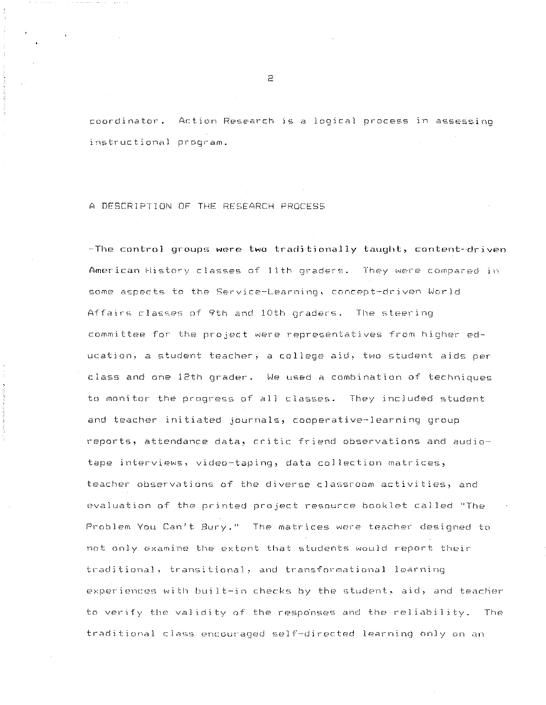coordinator. Action Research is a logical process in assessing instructional program.

## A DESCRIPTION OF THE RESEARCH PROCESS

-The control groups were two traditionally taught, content-driven American History classes of 11th oraders. They were compared in some aspects to the Service-Learning, concept-driven World Affairs classes of 9th and 10th graders. The steering committee for the project were representatives from higher education, a student teacher, a college aid, two student aids per class and one 12th grader. We used a combination of techniques to monitor the progress of all classes. They included student and teacher initiated journals, cooperative-learning group reports, attendance data, critic friend observations and audiotape interviews, video-taping, data collection matrices, teacher observations of the diverse classroom activities, and evaluation of the printed project resource booklet called "The Problem You Can't Bury." The matrices were teacher designed to not only examine the extent that students would report their traditional, transitional, and transformational learning experiences with built-in checks by the student, aid, and teacher to verify the validity of the responses and the reliability. The traditional class encouraged self-directed learning only on an

 $\Rightarrow$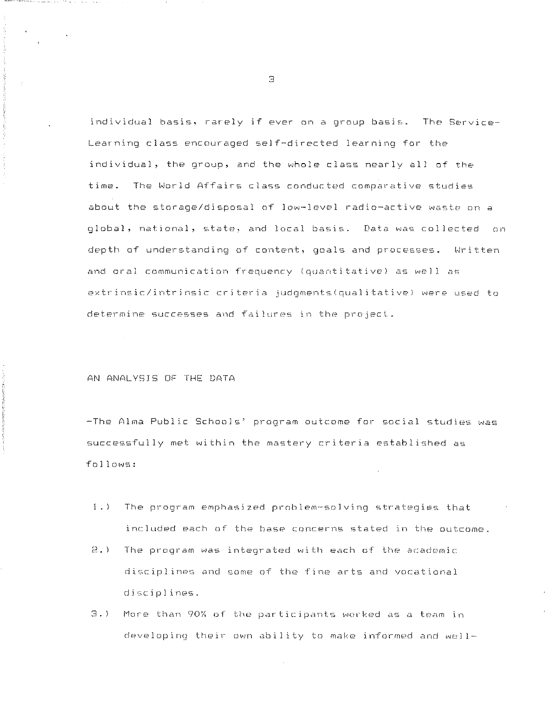individual basis, rarely if ever on a group basis. The Service-Learning class encouraged self-directed learning for the individual, the group, and the whole class nearly all of the time. The World Affairs class conducted comparative studies about the storage/disposal of low-level radio-active waste on a global, national, state, and local basis. Data was collected on depth of understanding of content, goals and processes. Written and oral communication frequency (quantitative) as well as extrinsic/intrinsic criteria judgments(qualitative) were used to determine successes and failures in the project.

AN ANALYSIS OF THE DATA

-The Alma Public Schools' program outcome for social studies was successfully met within the mastery criteria established as follows:

- 1.) The program emphasized problem-solving strategies that included each of the base concerns stated in the outcome.
- 2.) The program was integrated with each of the academic disciplines and some of the fine arts and vocational disciplines.
- 3.) More than 90% of the participants worked as a team in developing their own ability to make informed and well-

 $\mathbb{R}$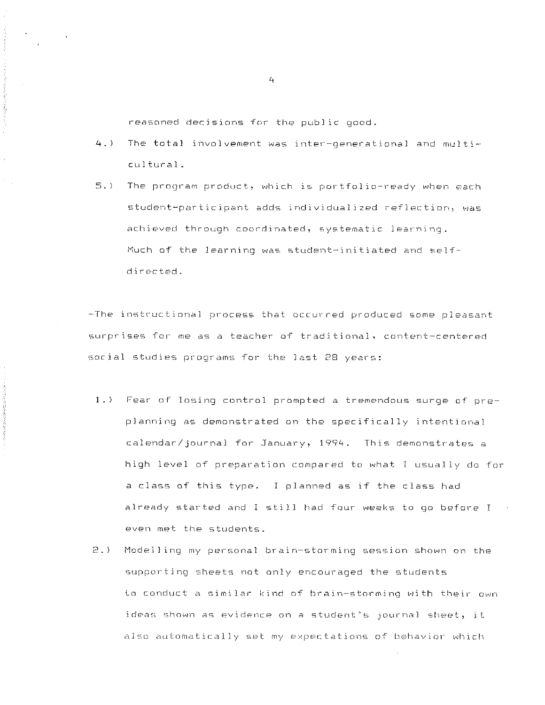reasoned decisions for the public good.

医营养医营养医营养医营养 医三十二

 $\frac{1}{2}$ 

- $4.1$ The total involvement was inter-oenerational and multicultural.
- $5.$ ) The program product, which is portfolio-ready when each student-participant adds individualized reflection, was achieved through coordinated, systematic learning. Much of the learning was student-initiated and selfdirected.

-The instructional process that occurred produced some pleasant surprises for me as a teacher of traditional, content-centered social studies programs for the last 28 years:

- 1.) Fear of losing control prompted a tremendous surge of preplanning as demonstrated on the specifically intentional calendar/journal for January, 1994. This demonstrates a high level of preparation compared to what I usually do for a class of this type. I planned as if the class had already started and I still had four weeks to go before I even met the students.
- $2.$ Modelling my personal brain-storming session shown on the supporting sheets not only encouraged the students to conduct a similar kind of brain-storming with their own ideas shown as evidence on a student's journal sheet, it also automatically set my expectations of behavior which

 $\mathbf{4}$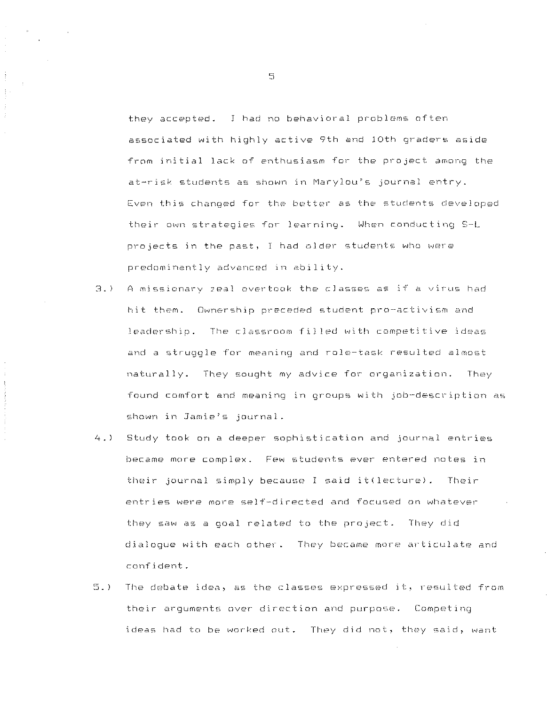they accepted. J had no behavioral problems often associated with highly active 9th and 10th graders aside from initial lack of enthusiasm for the project among the at-risk students as shown in Marylou's journal entry. Even this changed for the better as the students developed their own strategies for learning. When conducting S·-L projects in the past, I had older students who were predominantly advanced in ability.

- $3.$ ) A missionary zeal overtook the classes as if a virus had hit them. Ownership preceded student pro-activism and leadership. The classroom filled with competitive ideas and a struggle for meaning and role-task resulted almost naturally. They sought my advice for organization. They found comfort and meaning in groups with job-description as shown in Jamie~s journal.
- 4.) Study took on a deeper sophistication and journal entries became more complex. Few students ever entered notes in their journal simply because I said it(lecture). Their entries were more self-directed and focused on whatever they saw as a goal related to the project. They did dialogue with each other. They became more articulate and confident.
- 5.) The debate idea, as the classes expressed it, resulted from their arguments over direction and purpose. Competing ideas had to be worked out. They did not, they said, want

5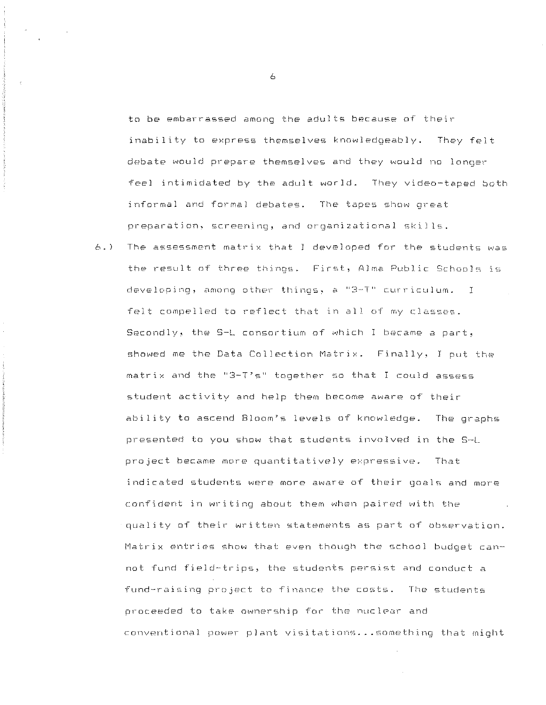to be embarrassed among the adults because of their inability to express themselves knowledgeably. They felt debate would prepare themselves and they would no longer feel intimidated by the adult world. They video-taped both informal and formal debates. The tapes show great preparation, screening, and organizational skills.

 $6.1$ The assessment matrix that I developed for the students was the result of three things. First, Alma Public Schools is developing, among other things, a "3-T" curriculum. I felt compelled to reflect that in all of my classes. Secondly, the S-L consortium of which I became a part, showed me the Data Collection Matrix. Finally, I put the matrix and the "3-T's" together so that I could assess student activity and help them become aware of their ability to ascend Bloom's levels of knowledge. The graphs presented to you show that students involved in the S-L project became more quantitatively expressive. That indicated students were more aware of their goals and more confident in writing about them when paired with the quality of their written statements as part of observation. Matrix entries show that even though the school budget cannot fund field-trips, the students persist and conduct a fund-raising project to finance the costs. The students proceeded to take ownership for the nuclear and conventional power plant visitations... something that might

 $\overline{A}$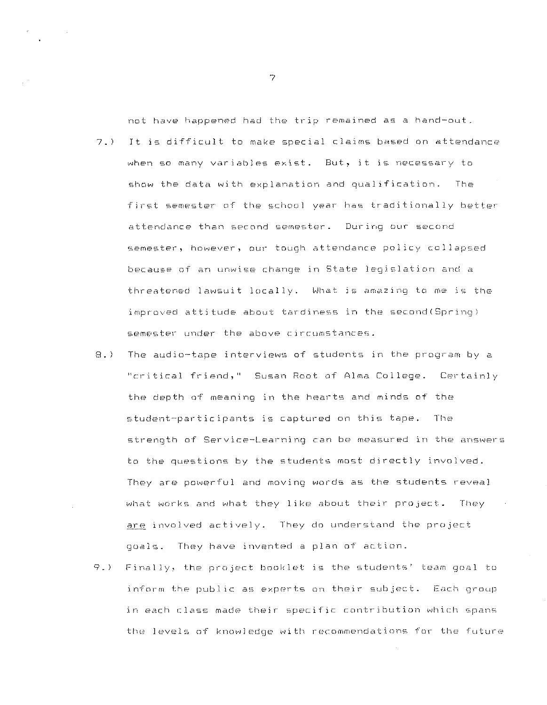not have happened had the trip remained as a hand-out.

- $7.5$ It is difficult to make special claims based on attendance when so many variables exist. But, it is necessary to show the data with explanation and qualification. The first semester of the school year has traditionally better attendance than second semester. During our second semester, however, our tough attendance policy collapsed because of an unwise change in State legislation and a threatened lawsuit locally. What is amazing to me is the improved attitude about tardiness in the second (Spring) semester under the above circumstances.
- $\Theta$ .) The audio-tape interviews of students in the program by a "critical friend," Susan Root of Alma College. Certainly the depth of meaning in the hearts and minds of the student-participants is captured on this tape. The strength of Service-Learning can be measured in the answers to the questions by the students most directly involved. They are powerful and moving words as the students reveal what works and what they like about their project. They are involved actively. They do understand the project goals. They have invented a plan of action.
- $9.$ ) Finally, the project booklet is the students' team goal to inform the public as experts on their subject. Each group in each class made their specific contribution which spans the levels of knowledge with recommendations for the future

 $\overline{z}$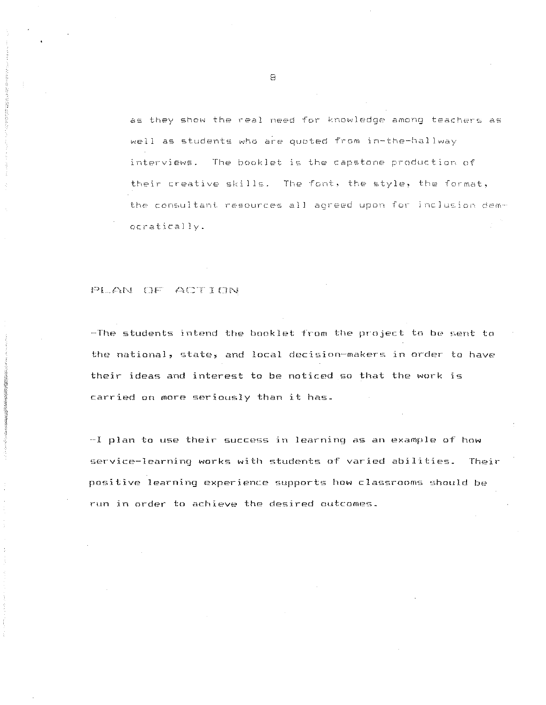as they show the real need for knowledge among teachers as well as students who are ouoted from in-the-hallway interviews. The booklet is the capstone production of their creative skills. The font, the style, the format, the consultant resources all agreed upon for inclusion democratically.

### PLAN OF ACTION

-The students intend the booklet from the project to be sent to the national, state, and local decision-makers in order to have their ideas and interest to be noticed so that the work is carried on more seriously than it has.

-I plan to use their success in learning as an example of how service-learning works with students of varied abilities. Their positive learning experience supports how classrooms should be run in order to achieve the desired outcomes.

8